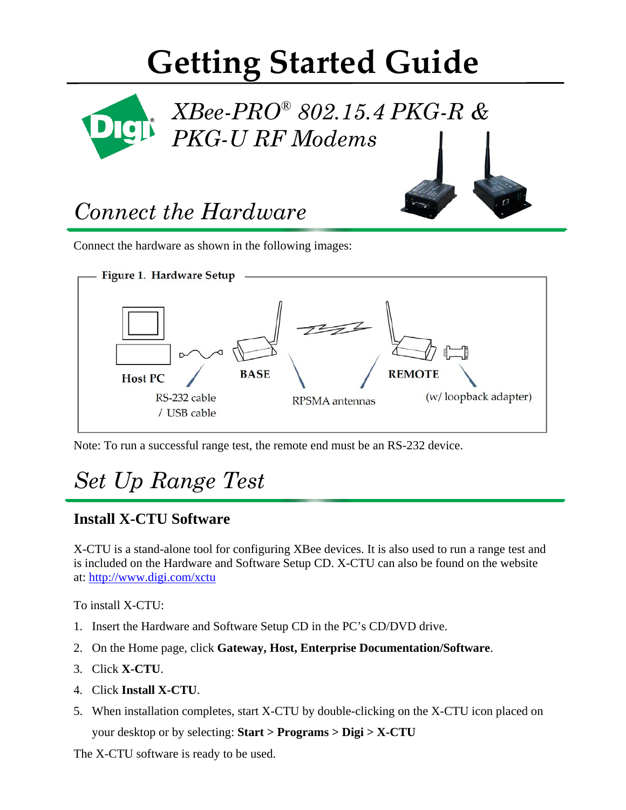# **Getting Started Guide**



### *Connect the Hardware*

Connect the hardware as shown in the following images:



Note: To run a successful range test, the remote end must be an RS-232 device.

### *Set Up Range Test*

#### **Install X-CTU Software**

X-CTU is a stand-alone tool for configuring XBee devices. It is also used to run a range test and is included on the Hardware and Software Setup CD. X-CTU can also be found on the website at: http://www.digi.com/xctu

To install X-CTU:

- 1. Insert the Hardware and Software Setup CD in the PC's CD/DVD drive.
- 2. On the Home page, click **Gateway, Host, Enterprise Documentation/Software**.
- 3. Click **X-CTU**.
- 4. Click **Install X-CTU**.
- 5. When installation completes, start X-CTU by double-clicking on the X-CTU icon placed on your desktop or by selecting: **Start > Programs > Digi > X-CTU**

The X-CTU software is ready to be used.